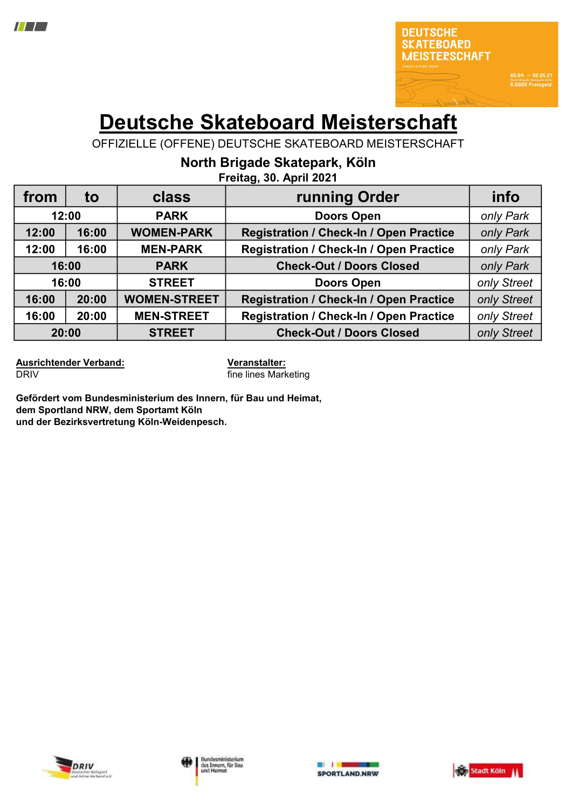

**30.04. - 02.05.21**<br>North Brigade Skatepark, Köle<br>**3.000€ Preisgeld** 

# Deutsche Skateboard Meisterschaft

OFFIZIELLE (OFFENE) DEUTSCHE SKATEBOARD MEISTERSCHAFT

North Brigade Skatepark, Köln

| Freitag, 30. April 2021 |  |  |  |
|-------------------------|--|--|--|
|                         |  |  |  |

| from  | to    | class               | running Order                                  | info        |
|-------|-------|---------------------|------------------------------------------------|-------------|
| 12:00 |       | <b>PARK</b>         | <b>Doors Open</b>                              | only Park   |
| 12:00 | 16:00 | <b>WOMEN-PARK</b>   | <b>Registration / Check-In / Open Practice</b> | only Park   |
| 12:00 | 16:00 | <b>MEN-PARK</b>     | <b>Registration / Check-In / Open Practice</b> | only Park   |
| 16:00 |       | <b>PARK</b>         | <b>Check-Out / Doors Closed</b>                | only Park   |
| 16:00 |       | <b>STREET</b>       | <b>Doors Open</b>                              | only Street |
| 16:00 | 20:00 | <b>WOMEN-STREET</b> | <b>Registration / Check-In / Open Practice</b> | only Street |
| 16:00 | 20:00 | <b>MEN-STREET</b>   | <b>Registration / Check-In / Open Practice</b> | only Street |
| 20:00 |       | <b>STREET</b>       | <b>Check-Out / Doors Closed</b>                | only Street |

Ausrichtender Verband: Veranstalter: **DRIV fine lines Marketing** 

Gefördert vom Bundesministerium des Innern, für Bau und Heimat, dem Sportland NRW, dem Sportamt Köln und der Bezirksvertretung Köln-Weidenpesch.





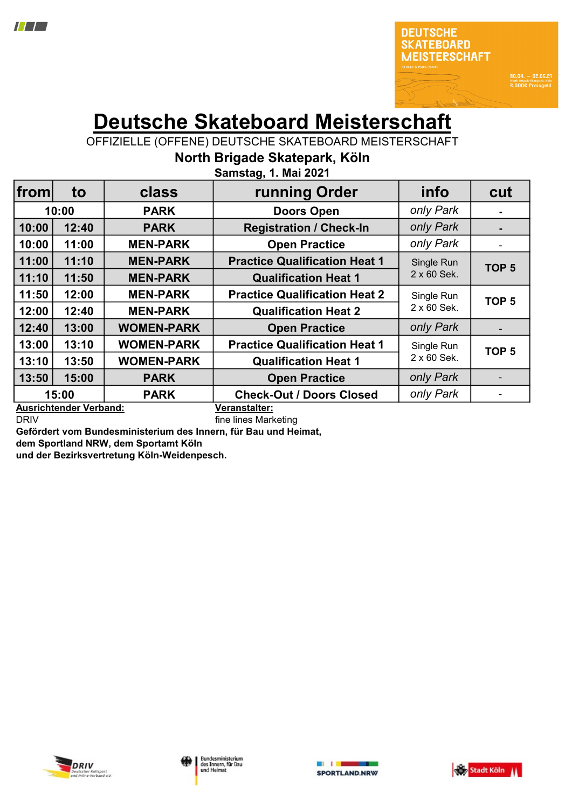

80.04. - 02.05.21<br>North Brigade Skatepark, Köln<br>8.000€ Preisgeld

# Deutsche Skateboard Meisterschaft

OFFIZIELLE (OFFENE) DEUTSCHE SKATEBOARD MEISTERSCHAFT

|  | North Brigade Skatepark, Köln |  |
|--|-------------------------------|--|
|  |                               |  |

| from                                           | to    | class             | running Order                        | info        | cut              |
|------------------------------------------------|-------|-------------------|--------------------------------------|-------------|------------------|
|                                                | 10:00 | <b>PARK</b>       | <b>Doors Open</b>                    | only Park   | $\blacksquare$   |
| 10:00                                          | 12:40 | <b>PARK</b>       | <b>Registration / Check-In</b>       | only Park   | $\blacksquare$   |
| 10:00                                          | 11:00 | <b>MEN-PARK</b>   | <b>Open Practice</b>                 | only Park   |                  |
| 11:00                                          | 11:10 | <b>MEN-PARK</b>   | <b>Practice Qualification Heat 1</b> | Single Run  | TOP <sub>5</sub> |
| 11:10                                          | 11:50 | <b>MEN-PARK</b>   | <b>Qualification Heat 1</b>          | 2 x 60 Sek. |                  |
| 11:50                                          | 12:00 | <b>MEN-PARK</b>   | <b>Practice Qualification Heat 2</b> | Single Run  | TOP <sub>5</sub> |
| 12:00                                          | 12:40 | <b>MEN-PARK</b>   | <b>Qualification Heat 2</b>          | 2 x 60 Sek. |                  |
| 12:40                                          | 13:00 | <b>WOMEN-PARK</b> | <b>Open Practice</b>                 | only Park   | ۰                |
| 13:00                                          | 13:10 | <b>WOMEN-PARK</b> | <b>Practice Qualification Heat 1</b> | Single Run  | TOP <sub>5</sub> |
| 13:10                                          | 13:50 | <b>WOMEN-PARK</b> | <b>Qualification Heat 1</b>          | 2 x 60 Sek. |                  |
| 13:50                                          | 15:00 | <b>PARK</b>       | <b>Open Practice</b>                 | only Park   |                  |
|                                                | 15:00 | <b>PARK</b>       | <b>Check-Out / Doors Closed</b>      | only Park   |                  |
| <b>Ausrichtender Verband:</b><br>Veranstalter: |       |                   |                                      |             |                  |

Samstag, 1. Mai 2021

DRIV **DRIV** *DRIV DRIV DRIV DRIV BUTER DRIV BUTER BUTER BUTER BUTER BUTER BUTER BUTER BUTER BUTER BUTER BUTER BUTER BUTER BUTER BUTER BUT* Gefördert vom Bundesministerium des Innern, für Bau und Heimat,

dem Sportland NRW, dem Sportamt Köln

und der Bezirksvertretung Köln-Weidenpesch.





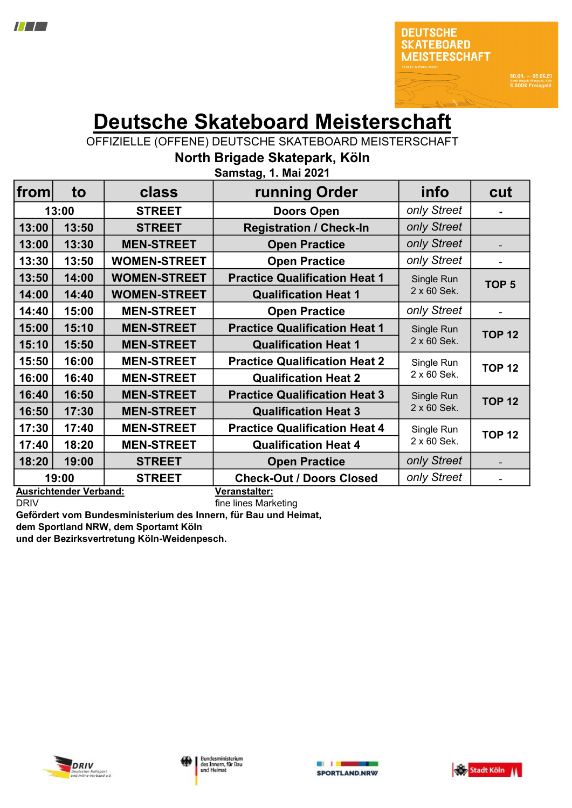

**30.04. - 02.05.21**<br>North Brigade Skatepark, Köln<br>**3.000€ Preisgeld** 

## Deutsche Skateboard Meisterschaft

OFFIZIELLE (OFFENE) DEUTSCHE SKATEBOARD MEISTERSCHAFT

North Brigade Skatepark, Köln

| from  | to                                            | class               | running Order                                    | info        | cut              |
|-------|-----------------------------------------------|---------------------|--------------------------------------------------|-------------|------------------|
|       | 13:00                                         | <b>STREET</b>       | <b>Doors Open</b>                                | only Street |                  |
| 13:00 | 13:50                                         | <b>STREET</b>       | <b>Registration / Check-In</b>                   | only Street |                  |
| 13:00 | 13:30                                         | <b>MEN-STREET</b>   | <b>Open Practice</b>                             | only Street |                  |
| 13:30 | 13:50                                         | <b>WOMEN-STREET</b> | <b>Open Practice</b>                             | only Street |                  |
| 13:50 | 14:00                                         | <b>WOMEN-STREET</b> | <b>Practice Qualification Heat 1</b>             | Single Run  | TOP <sub>5</sub> |
| 14:00 | 14:40                                         | <b>WOMEN-STREET</b> | <b>Qualification Heat 1</b>                      | 2 x 60 Sek. |                  |
| 14:40 | 15:00                                         | <b>MEN-STREET</b>   | <b>Open Practice</b>                             | only Street |                  |
| 15:00 | 15:10                                         | <b>MEN-STREET</b>   | <b>Practice Qualification Heat 1</b>             | Single Run  | <b>TOP 12</b>    |
| 15:10 | 15:50                                         | <b>MEN-STREET</b>   | <b>Qualification Heat 1</b>                      | 2 x 60 Sek. |                  |
| 15:50 | 16:00                                         | <b>MEN-STREET</b>   | <b>Practice Qualification Heat 2</b>             | Single Run  | <b>TOP 12</b>    |
| 16:00 | 16:40                                         | <b>MEN-STREET</b>   | <b>Qualification Heat 2</b>                      | 2 x 60 Sek. |                  |
| 16:40 | 16:50                                         | <b>MEN-STREET</b>   | <b>Practice Qualification Heat 3</b>             | Single Run  | <b>TOP 12</b>    |
| 16:50 | 17:30                                         | <b>MEN-STREET</b>   | <b>Qualification Heat 3</b>                      | 2 x 60 Sek. |                  |
| 17:30 | 17:40                                         | <b>MEN-STREET</b>   | <b>Practice Qualification Heat 4</b>             | Single Run  | <b>TOP 12</b>    |
| 17:40 | 18:20                                         | <b>MEN-STREET</b>   | <b>Qualification Heat 4</b>                      | 2 x 60 Sek. |                  |
| 18:20 | 19:00                                         | <b>STREET</b>       | <b>Open Practice</b>                             | only Street |                  |
|       | 19:00<br>A constabilizado de la Madeira de la | <b>STREET</b>       | <b>Check-Out / Doors Closed</b><br>Mananataltani | only Street |                  |

Samstag, 1. Mai 2021

Ausrichtender Verband: Veranstalter:

DRIV **DRIV fine lines Marketing** Gefördert vom Bundesministerium des Innern, für Bau und Heimat,

dem Sportland NRW, dem Sportamt Köln

und der Bezirksvertretung Köln-Weidenpesch.